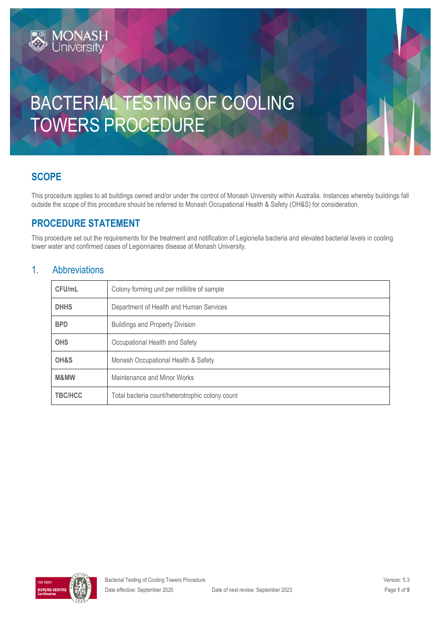# BACTERIAL TESTING OF COOLING TOWERS PROCEDURE

# **SCOPE**

This procedure applies to all buildings owned and/or under the control of Monash University within Australia. Instances whereby buildings fall outside the scope of this procedure should be referred to Monash Occupational Health & Safety (OH&S) for consideration.

# **PROCEDURE STATEMENT**

**MONASH**<br>University

This procedure set out the requirements for the treatment and notification of Legionella bacteria and elevated bacterial levels in cooling tower water and confirmed cases of Legionnaires disease at Monash University.

### 1. Abbreviations

| CFU/mL         | Colony forming unit per millilitre of sample    |  |
|----------------|-------------------------------------------------|--|
| <b>DHHS</b>    | Department of Health and Human Services         |  |
| <b>BPD</b>     | <b>Buildings and Property Division</b>          |  |
| <b>OHS</b>     | Occupational Health and Safety                  |  |
| OH&S           | Monash Occupational Health & Safety             |  |
| M&MW           | Maintenance and Minor Works                     |  |
| <b>TBC/HCC</b> | Total bacteria count/heterotrophic colony count |  |

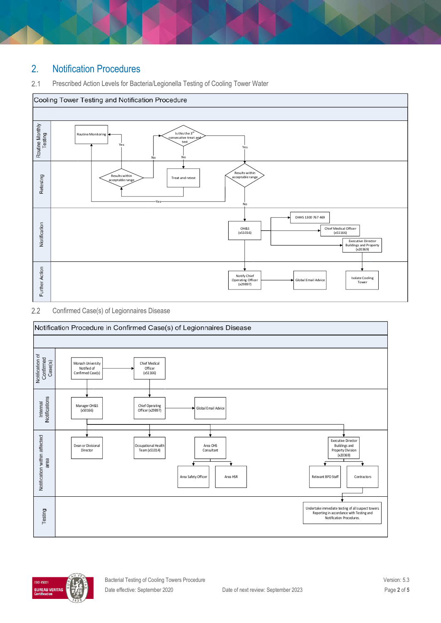# 2. Notification Procedures

#### $2.1$ Prescribed Action Levels for Bacteria/Legionella Testing of Cooling Tower Water



#### $2.2$ Confirmed Case(s) of Legionnaires Disease



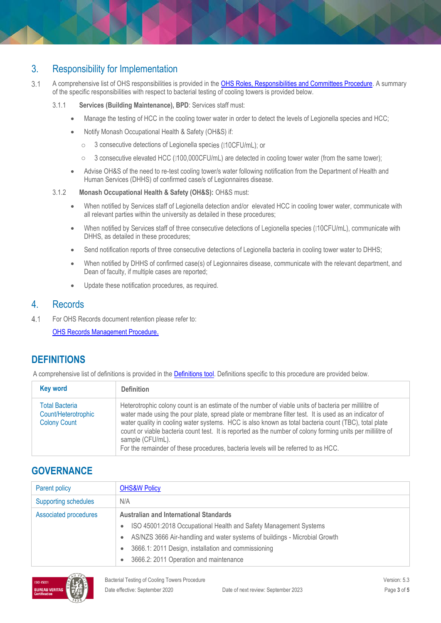## 3. Responsibility for Implementation

- $3.1$ A comprehensive list of OHS responsibilities is provided in the [OHS Roles, Responsibilities and Committees Procedure.](https://publicpolicydms.monash.edu/Monash/documents/1935644) A summary of the specific responsibilities with respect to bacterial testing of cooling towers is provided below.
	- 3.1.1 **Services (Building Maintenance), BPD**: Services staff must:
		- Manage the testing of HCC in the cooling tower water in order to detect the levels of Legionella species and HCC;
		- Notify Monash Occupational Health & Safety (OH&S) if:
			- 3 consecutive detections of Legionella species (010CFU/mL); or
			- 3 consecutive elevated HCC (0100,000CFU/mL) are detected in cooling tower water (from the same tower); o
		- Advise OH&S of the need to re-test cooling tower/s water following notification from the Department of Health and Human Services (DHHS) of confirmed case/s of Legionnaires disease.
	- 3.1.2 **Monash Occupational Health & Safety (OH&S):** OH&S must:
		- When notified by Services staff of Legionella detection and/or elevated HCC in cooling tower water, communicate with all relevant parties within the university as detailed in these procedures;
		- When notified by Services staff of three consecutive detections of Legionella species (010CFU/mL), communicate with  $\bullet$ DHHS, as detailed in these procedures;
		- Send notification reports of three consecutive detections of Legionella bacteria in cooling tower water to DHHS;
		- When notified by DHHS of confirmed case(s) of Legionnaires disease, communicate with the relevant department, and Dean of faculty, if multiple cases are reported;
		- Update these notification procedures, as required.

### 4. Records

 $4.1$ For OHS Records document retention please refer to:

[OHS Records Management Procedure](https://publicpolicydms.monash.edu/Monash/documents/1935642).

### **DEFINITIONS**

A comprehensive list of definitions is provided in the [Definitions tool.](https://www.monash.edu/__data/assets/pdf_file/0018/113742/ohs-document-definitions.pdf) Definitions specific to this procedure are provided below.

| <b>Key word</b>                                                     | <b>Definition</b>                                                                                                                                                                                                                                                                                                                                                                                                                                                                                                                              |
|---------------------------------------------------------------------|------------------------------------------------------------------------------------------------------------------------------------------------------------------------------------------------------------------------------------------------------------------------------------------------------------------------------------------------------------------------------------------------------------------------------------------------------------------------------------------------------------------------------------------------|
| <b>Total Bacteria</b><br>Count/Heterotrophic<br><b>Colony Count</b> | Heterotrophic colony count is an estimate of the number of viable units of bacteria per millilitre of<br>water made using the pour plate, spread plate or membrane filter test. It is used as an indicator of<br>water quality in cooling water systems. HCC is also known as total bacteria count (TBC), total plate<br>count or viable bacteria count test. It is reported as the number of colony forming units per millilitre of<br>sample (CFU/mL).<br>For the remainder of these procedures, bacteria levels will be referred to as HCC. |

### **GOVERNANCE**

| Parent policy               | <b>OHS&amp;W Policy</b>                                                                 |  |
|-----------------------------|-----------------------------------------------------------------------------------------|--|
| <b>Supporting schedules</b> | N/A                                                                                     |  |
| Associated procedures       | <b>Australian and International Standards</b>                                           |  |
|                             | ISO 45001:2018 Occupational Health and Safety Management Systems<br>$\bullet$           |  |
|                             | AS/NZS 3666 Air-handling and water systems of buildings - Microbial Growth<br>$\bullet$ |  |
|                             | 3666.1: 2011 Design, installation and commissioning<br>$\bullet$                        |  |
|                             | 3666.2: 2011 Operation and maintenance<br>$\bullet$                                     |  |

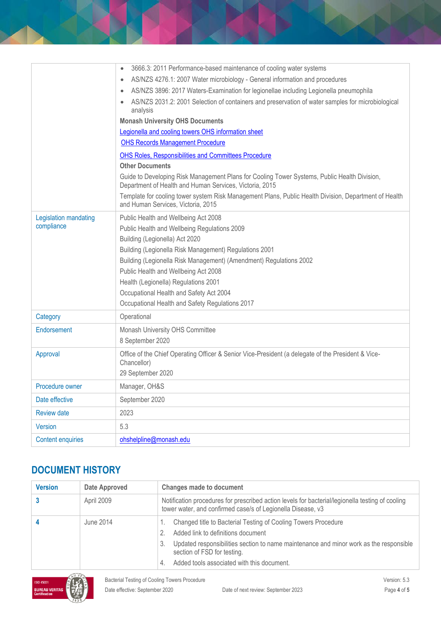|                                     | 3666.3: 2011 Performance-based maintenance of cooling water systems<br>AS/NZS 4276.1: 2007 Water microbiology - General information and procedures<br>$\bullet$<br>AS/NZS 3896: 2017 Waters-Examination for legionellae including Legionella pneumophila<br>$\bullet$<br>AS/NZS 2031.2: 2001 Selection of containers and preservation of water samples for microbiological<br>analysis<br><b>Monash University OHS Documents</b><br>Legionella and cooling towers OHS information sheet<br><b>OHS Records Management Procedure</b><br>OHS Roles, Responsibilities and Committees Procedure<br><b>Other Documents</b><br>Guide to Developing Risk Management Plans for Cooling Tower Systems, Public Health Division,<br>Department of Health and Human Services, Victoria, 2015<br>Template for cooling tower system Risk Management Plans, Public Health Division, Department of Health |  |
|-------------------------------------|------------------------------------------------------------------------------------------------------------------------------------------------------------------------------------------------------------------------------------------------------------------------------------------------------------------------------------------------------------------------------------------------------------------------------------------------------------------------------------------------------------------------------------------------------------------------------------------------------------------------------------------------------------------------------------------------------------------------------------------------------------------------------------------------------------------------------------------------------------------------------------------|--|
|                                     | and Human Services, Victoria, 2015                                                                                                                                                                                                                                                                                                                                                                                                                                                                                                                                                                                                                                                                                                                                                                                                                                                       |  |
| Legislation mandating<br>compliance | Public Health and Wellbeing Act 2008<br>Public Health and Wellbeing Regulations 2009<br>Building (Legionella) Act 2020<br>Building (Legionella Risk Management) Regulations 2001<br>Building (Legionella Risk Management) (Amendment) Regulations 2002<br>Public Health and Wellbeing Act 2008<br>Health (Legionella) Regulations 2001<br>Occupational Health and Safety Act 2004<br>Occupational Health and Safety Regulations 2017                                                                                                                                                                                                                                                                                                                                                                                                                                                     |  |
| Category                            | Operational                                                                                                                                                                                                                                                                                                                                                                                                                                                                                                                                                                                                                                                                                                                                                                                                                                                                              |  |
| Endorsement                         | Monash University OHS Committee<br>8 September 2020                                                                                                                                                                                                                                                                                                                                                                                                                                                                                                                                                                                                                                                                                                                                                                                                                                      |  |
| Approval                            | Office of the Chief Operating Officer & Senior Vice-President (a delegate of the President & Vice-<br>Chancellor)<br>29 September 2020                                                                                                                                                                                                                                                                                                                                                                                                                                                                                                                                                                                                                                                                                                                                                   |  |
| Procedure owner                     | Manager, OH&S                                                                                                                                                                                                                                                                                                                                                                                                                                                                                                                                                                                                                                                                                                                                                                                                                                                                            |  |
| Date effective                      | September 2020                                                                                                                                                                                                                                                                                                                                                                                                                                                                                                                                                                                                                                                                                                                                                                                                                                                                           |  |
| <b>Review date</b>                  | 2023                                                                                                                                                                                                                                                                                                                                                                                                                                                                                                                                                                                                                                                                                                                                                                                                                                                                                     |  |
| <b>Version</b>                      | 5.3                                                                                                                                                                                                                                                                                                                                                                                                                                                                                                                                                                                                                                                                                                                                                                                                                                                                                      |  |
| <b>Content enquiries</b>            | ohshelpline@monash.edu                                                                                                                                                                                                                                                                                                                                                                                                                                                                                                                                                                                                                                                                                                                                                                                                                                                                   |  |

# **DOCUMENT HISTORY**

| <b>Version</b> | Date Approved | <b>Changes made to document</b>                                                                                                                                                                                                                                                         |
|----------------|---------------|-----------------------------------------------------------------------------------------------------------------------------------------------------------------------------------------------------------------------------------------------------------------------------------------|
|                | April 2009    | Notification procedures for prescribed action levels for bacterial/legionella testing of cooling<br>tower water, and confirmed case/s of Legionella Disease, v3                                                                                                                         |
|                | June 2014     | Changed title to Bacterial Testing of Cooling Towers Procedure<br>Added link to definitions document<br>Updated responsibilities section to name maintenance and minor work as the responsible<br>3.<br>section of FSD for testing.<br>Added tools associated with this document.<br>4. |